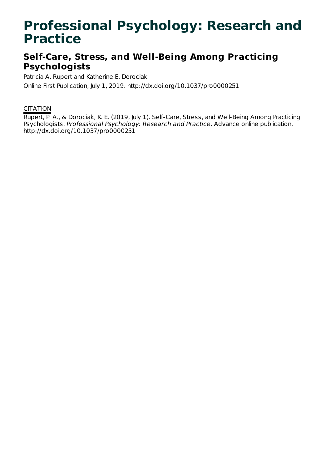# **Professional Psychology: Research and Practice**

## **Self-Care, Stress, and Well-Being Among Practicing Psychologists**

Patricia A. Rupert and Katherine E. Dorociak

Online First Publication, July 1, 2019. http://dx.doi.org/10.1037/pro0000251

### **CITATION**

Rupert, P. A., & Dorociak, K. E. (2019, July 1). Self-Care, Stress, and Well-Being Among Practicing Psychologists. Professional Psychology: Research and Practice. Advance online publication. http://dx.doi.org/10.1037/pro0000251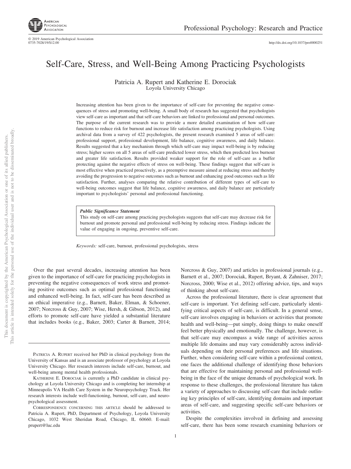

© 2019 American Psychological Association 0735-7028/19/\$12.00

http://dx.doi.org[/10.1037/pro0000251](http://dx.doi.org/10.1037/pro0000251)

### Self-Care, Stress, and Well-Being Among Practicing Psychologists

Patricia A. Rupert and Katherine E. Dorociak Loyola University Chicago

Increasing attention has been given to the importance of self-care for preventing the negative consequences of stress and promoting well-being. A small body of research has suggested that psychologists view self-care as important and that self-care behaviors are linked to professional and personal outcomes. The purpose of the current research was to provide a more detailed examination of how self-care functions to reduce risk for burnout and increase life satisfaction among practicing psychologists. Using archival data from a survey of 422 psychologists, the present research examined 5 areas of self-care: professional support, professional development, life balance, cognitive awareness, and daily balance. Results suggested that a key mechanism through which self-care may impact well-being is by reducing stress; higher scores on all 5 areas of self-care predicted lower stress, which then predicted less burnout and greater life satisfaction. Results provided weaker support for the role of self-care as a buffer protecting against the negative effects of stress on well-being. These findings suggest that self-care is most effective when practiced proactively, as a preemptive measure aimed at reducing stress and thereby avoiding the progression to negative outcomes such as burnout and enhancing good outcomes such as life satisfaction. Further, analyses comparing the relative contribution of different types of self-care to well-being outcomes suggest that life balance, cognitive awareness, and daily balance are particularly important to psychologists' personal and professional functioning.

*Public Significance Statement*

This study on self-care among practicing psychologists suggests that self-care may decrease risk for burnout and promote personal and professional well-being by reducing stress. Findings indicate the value of engaging in ongoing, preventive self-care.

*Keywords:* self-care, burnout, professional psychologists, stress

Over the past several decades, increasing attention has been given to the importance of self-care for practicing psychologists in preventing the negative consequences of work stress and promoting positive outcomes such as optimal professional functioning and enhanced well-being. In fact, self-care has been described as an ethical imperative (e.g., Barnett, Baker, Elman, & Schoener, 2007; Norcross & Guy, 2007; Wise, Hersh, & Gibson, 2012), and efforts to promote self-care have yielded a substantial literature that includes books (e.g., Baker, 2003; Carter & Barnett, 2014;

PATRICIA A. RUPERT received her PhD in clinical psychology from the University of Kansas and is an associate professor of psychology at Loyola University Chicago. Her research interests include self-care, burnout, and well-being among mental health professionals.

of thinking about self-care.

Despite the complexities involved in defining and assessing self-care, there has been some research examining behaviors or

Norcross & Guy, 2007) and articles in professional journals (e.g., Barnett et al., 2007; Dorociak, Rupert, Bryant, & Zahniser, 2017; Norcross, 2000; Wise et al., 2012) offering advice, tips, and ways

Across the professional literature, there is clear agreement that self-care is important. Yet defining self-care, particularly identifying critical aspects of self-care, is difficult. In a general sense, self-care involves engaging in behaviors or activities that promote health and well-being—put simply, doing things to make oneself feel better physically and emotionally. The challenge, however, is that self-care may encompass a wide range of activities across multiple life domains and may vary considerably across individuals depending on their personal preferences and life situations. Further, when considering self-care within a professional context, one faces the additional challenge of identifying those behaviors that are effective for maintaining personal and professional wellbeing in the face of the unique demands of psychological work. In response to these challenges, the professional literature has taken a variety of approaches to discussing self-care that include outlin-

activities.

KATHERINE E. DOROCIAK is currently a PhD candidate in clinical psychology at Loyola University Chicago and is completing her internship at Minneapolis VA Health Care System in the Neuropsychology Track. Her research interests include well-functioning, burnout, self-care, and neuropsychological assessment.

CORRESPONDENCE CONCERNING THIS ARTICLE should be addressed to Patricia A. Rupert, PhD, Department of Psychology, Loyola University Chicago, 1032 West Sheridan Road, Chicago, IL 60660. E-mail: [prupert@luc.edu](mailto:prupert@luc.edu)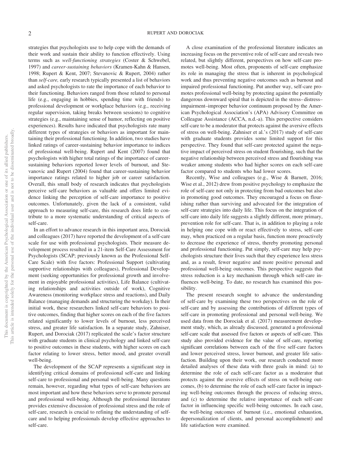strategies that psychologists use to help cope with the demands of their work and sustain their ability to function effectively. Using terms such as *well-functioning strategies* (Coster & Schwebel, 1997) and *career-sustaining behaviors* (Kramen-Kahn & Hansen, 1998; Rupert & Kent, 2007; Stevanovic & Rupert, 2004) rather than *self-care,* early research typically presented a list of behaviors and asked psychologists to rate the importance of each behavior to their functioning. Behaviors ranged from those related to personal life (e.g., engaging in hobbies, spending time with friends) to professional development or workplace behaviors (e.g., receiving regular supervision, taking breaks between sessions) to cognitive strategies (e.g., maintaining sense of humor, reflecting on positive experiences). Results have indicated that psychologists rate many different types of strategies or behaviors as important for maintaining their professional functioning. In addition, two studies have linked ratings of career-sustaining behavior importance to indices of professional well-being. Rupert and Kent (2007) found that psychologists with higher total ratings of the importance of careersustaining behaviors reported lower levels of burnout, and Stevanovic and Rupert (2004) found that career-sustaining behavior importance ratings related to higher job or career satisfaction. Overall, this small body of research indicates that psychologists perceive self-care behaviors as valuable and offers limited evidence linking the perception of self-care importance to positive outcomes. Unfortunately, given the lack of a consistent, valid approach to measuring self-care, this research does little to contribute to a more systematic understanding of critical aspects of self-care.

In an effort to advance research in this important area, Dorociak and colleagues (2017) have reported the development of a self-care scale for use with professional psychologists. Their measure development process resulted in a 21-item Self-Care Assessment for Psychologists (SCAP; previously known as the Professional Self-Care Scale) with five factors: Professional Support (cultivating supportive relationships with colleagues), Professional Development (seeking opportunities for professional growth and involvement in enjoyable professional activities), Life Balance (cultivating relationships and activities outside of work), Cognitive Awareness (monitoring workplace stress and reactions), and Daily Balance (managing demands and structuring the workday). In their initial work, these researchers linked self-care behaviors to positive outcomes, finding that higher scores on each of the five factors related significantly to lower levels of burnout, less perceived stress, and greater life satisfaction. In a separate study, Zahniser, Rupert, and Dorociak (2017) replicated the scale's factor structure with graduate students in clinical psychology and linked self-care to positive outcomes in these students, with higher scores on each factor relating to lower stress, better mood, and greater overall well-being.

The development of the SCAP represents a significant step in identifying critical domains of professional self-care and linking self-care to professional and personal well-being. Many questions remain, however, regarding what types of self-care behaviors are most important and how these behaviors serve to promote personal and professional well-being. Although the professional literature provides extensive discussion of professional stress and the role of self-care, research is crucial to refining the understanding of selfcare and to helping professionals develop effective approaches to self-care.

A close examination of the professional literature indicates an increasing focus on the preventive role of self-care and reveals two related, but slightly different, perspectives on how self-care promotes well-being. Most often, proponents of self-care emphasize its role in managing the stress that is inherent in psychological work and thus preventing negative outcomes such as burnout and impaired professional functioning. Put another way, self-care promotes professional well-being by protecting against the potentially dangerous downward spiral that is depicted in the stress– distress– impairment–improper behavior continuum proposed by the American Psychological Association's (APA) Advisory Committee on Colleague Assistance (ACCA, n.d.-a). This perspective considers self-care to be a moderator that protects against the aversive effects of stress on well-being. Zahniser et al.'s (2017) study of self-care with graduate students provides some limited support for this perspective. They found that self-care protected against the negative impact of perceived stress on student flourishing, such that the negative relationship between perceived stress and flourishing was weaker among students who had higher scores on each self-care factor compared to students who had lower scores.

Recently, Wise and colleagues (e.g., Wise & Barnett, 2016; Wise et al., 2012) drew from positive psychology to emphasize the role of self-care not only in protecting from bad outcomes but also in promoting good outcomes. They encouraged a focus on flourishing rather than surviving and advocated for the integration of self-care strategies into daily life. This focus on the integration of self-care into daily life suggests a slightly different, more primary, prevention role for self-care. That is, in addition to playing a role in helping one cope with or react effectively to stress, self-care may, when practiced on a regular basis, function more proactively to decrease the experience of stress, thereby promoting personal and professional functioning. Put simply, self-care may help psychologists structure their lives such that they experience less stress and, as a result, fewer negative and more positive personal and professional well-being outcomes. This perspective suggests that stress reduction is a key mechanism through which self-care influences well-being. To date, no research has examined this possibility.

The present research sought to advance the understanding of self-care by examining these two perspectives on the role of self-care and by assessing the contributions of different types of self-care in promoting professional and personal well-being. We used data from the Dorociak et al. (2017) measurement development study, which, as already discussed, generated a professional self-care scale that assessed five factors or aspects of self-care. This study also provided evidence for the value of self-care, reporting significant correlations between each of the five self-care factors and lower perceived stress, lower burnout, and greater life satisfaction. Building upon their work, our research conducted more detailed analyses of these data with three goals in mind: (a) to determine the role of each self-care factor as a moderator that protects against the aversive effects of stress on well-being outcomes, (b) to determine the role of each self-care factor in impacting well-being outcomes through the process of reducing stress, and (c) to determine the relative importance of each self-care factor in influencing specific well-being outcomes. In each case, the well-being outcomes of burnout (i.e., emotional exhaustion, depersonalization of clients, and personal accomplishment) and life satisfaction were examined.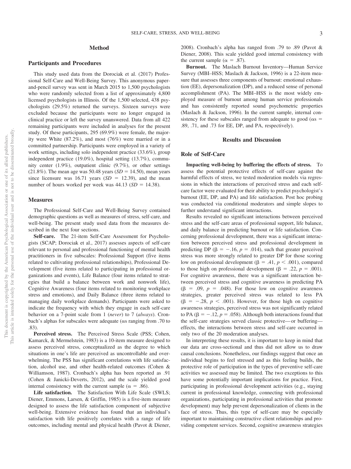#### **Method**

#### **Participants and Procedures**

This study used data from the Dorociak et al. (2017) Professional Self-Care and Well-Being Survey. This anonymous paperand-pencil survey was sent in March 2015 to 1,500 psychologists who were randomly selected from a list of approximately 4,800 licensed psychologists in Illinois. Of the 1,500 selected, 438 psychologists (29.5%) returned the surveys. Sixteen surveys were excluded because the participants were no longer engaged in clinical practice or left the survey unanswered. Data from all 422 remaining participants were included in analyses for the present study. Of these participants, 295 (69.9%) were female, the majority were White (87.2%), and most (76%) were married or in a committed partnership. Participants were employed in a variety of work settings, including solo independent practice (33.6%), group independent practice (19.0%), hospital setting (13.7%), community center (1.9%), outpatient clinic (9.7%), or other settings  $(21.8\%)$ . The mean age was 50.48 years  $(SD = 14.50)$ , mean years since licensure was  $16.71$  years  $(SD = 12.39)$ , and the mean number of hours worked per week was  $44.13$  ( $SD = 14.38$ ).

#### **Measures**

The Professional Self-Care and Well-Being Survey contained demographic questions as well as measures of stress, self-care, and well-being. The present study used data from the measures described in the next four sections.

**Self-care.** The 21-item Self-Care Assessment for Psychologists (SCAP; Dorociak et al., 2017) assesses aspects of self-care relevant to personal and professional functioning of mental health practitioners in five subscales: Professional Support (five items related to cultivating professional relationships), Professional Development (five items related to participating in professional organizations and events), Life Balance (four items related to strategies that build a balance between work and nonwork life), Cognitive Awareness (four items related to monitoring workplace stress and emotions), and Daily Balance (three items related to managing daily workplace demands). Participants were asked to indicate the frequency with which they engage in each self-care behavior on a 7-point scale from 1 (*never*) to 7 (*always*). Cronbach's alphas for subscales were adequate ( $\alpha$ s ranging from .70 to .83).

**Perceived stress.** The Perceived Stress Scale (PSS; [Cohen,](#page-7-0) [Kamarck, & Mermelstein, 1983\)](#page-7-0) is a 10-item measure designed to assess perceived stress, conceptualized as the degree to which situations in one's life are perceived as uncontrollable and overwhelming. The PSS has significant correlations with life satisfaction, alcohol use, and other health-related outcomes (Cohen & Williamson, 1987). Cronbach's alpha has been reported as .91 (Cohen & Janicki-Deverts, 2012), and the scale yielded good internal consistency with the current sample ( $\alpha = .86$ ).

**Life satisfaction.** The Satisfaction With Life Scale (SWLS; Diener, Emmons, Larsen, & Griffin, 1985) is a five-item measure designed to assess the life satisfaction component of subjective well-being. Extensive evidence has found that an individual's satisfaction with life positively correlates with a range of life outcomes, including mental and physical health (Pavot & Diener,

2008). Cronbach's alpha has ranged from .79 to .89 (Pavot & Diener, 2008). This scale yielded good internal consistency with the current sample ( $\alpha = .87$ ).

**Burnout.** The Maslach Burnout Inventory—Human Service Survey (MBI–HSS; Maslach & Jackson, 1996) is a 22-item measure that assesses three components of burnout: emotional exhaustion (EE), depersonalization (DP), and a reduced sense of personal accomplishment (PA). The MBI–HSS is the most widely employed measure of burnout among human service professionals and has consistently reported sound psychometric properties (Maslach & Jackson, 1996). In the current sample, internal consistency for these subscales ranged from adequate to good ( $\alpha$ s = .89, .71, and .73 for EE, DP, and PA, respectively).

#### **Results and Discussion**

#### **Role of Self-Care**

**Impacting well-being by buffering the effects of stress.** To assess the potential protective effects of self-care against the harmful effects of stress, we tested moderation models via regressions in which the interactions of perceived stress and each selfcare factor were evaluated for their ability to predict psychologist's burnout (EE, DP, and PA) and life satisfaction. Post hoc probing was conducted via conditional moderators and simple slopes to further understand significant interactions.

Results revealed no significant interactions between perceived stress and the self-care areas of professional support, life balance, and daily balance in predicting burnout or life satisfaction. Concerning professional development, there was a significant interaction between perceived stress and professional development in predicting DP ( $\beta = -.16$ ,  $p = .014$ ), such that greater perceived stress was more strongly related to greater DP for those scoring low on professional development ( $\beta = .41$ ,  $p < .001$ ), compared to those high on professional development ( $\beta = .22$ ,  $p = .001$ ). For cognitive awareness, there was a significant interaction between perceived stress and cognitive awareness in predicting PA  $(\beta = .09, p = .048)$ . For those low on cognitive awareness strategies, greater perceived stress was related to less PA  $(\beta = -.28, p < .001)$ . However, for those high on cognitive awareness strategies, perceived stress was not significantly related to PA ( $\beta = -.12$ ,  $p = .058$ ). Although both interactions found that the self-care strategies served classic protective— or buffering effects, the interactions between stress and self-care occurred in only two of the 20 moderation analyses.

In interpreting these results, it is important to keep in mind that our data are cross-sectional and thus did not allow us to draw causal conclusions. Nonetheless, our findings suggest that once an individual begins to feel stressed and as this feeling builds, the protective role of participation in the types of preventive self-care activities we assessed may be limited. The two exceptions to this have some potentially important implications for practice. First, participating in professional development activities (e.g., staying current in professional knowledge, connecting with professional organizations, participating in professional activities that promote development) may help prevent depersonalization of clients in the face of stress. Thus, this type of self-care may be especially important to maintaining constructive client relationships and providing competent services. Second, cognitive awareness strategies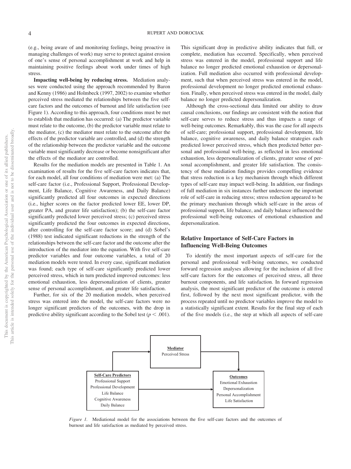(e.g., being aware of and monitoring feelings, being proactive in managing challenges of work) may serve to protect against erosion of one's sense of personal accomplishment at work and help in maintaining positive feelings about work under times of high stress.

**Impacting well-being by reducing stress.** Mediation analyses were conducted using the approach recommended by Baron and Kenny (1986) and Holmbeck (1997, 2002) to examine whether perceived stress mediated the relationships between the five selfcare factors and the outcomes of burnout and life satisfaction (see Figure 1). According to this approach, four conditions must be met to establish that mediation has occurred: (a) The predictor variable must relate to the outcome, (b) the predictor variable must relate to the mediator, (c) the mediator must relate to the outcome after the effects of the predictor variable are controlled, and (d) the strength of the relationship between the predictor variable and the outcome variable must significantly decrease or become nonsignificant after the effects of the mediator are controlled.

Results for the mediation models are presented in Table 1. An examination of results for the five self-care factors indicates that, for each model, all four conditions of mediation were met: (a) The self-care factor (i.e., Professional Support, Professional Development, Life Balance, Cognitive Awareness, and Daily Balance) significantly predicted all four outcomes in expected directions (i.e., higher scores on the factor predicted lower EE, lower DP, greater PA, and greater life satisfaction); (b) the self-care factor significantly predicted lower perceived stress; (c) perceived stress significantly predicted the four outcomes in expected directions, after controlling for the self-care factor score; and (d) Sobel's (1988) test indicated significant reductions in the strength of the relationships between the self-care factor and the outcome after the introduction of the mediator into the equation. With five self-care predictor variables and four outcome variables, a total of 20 mediation models were tested. In every case, significant mediation was found; each type of self-care significantly predicted lower perceived stress, which in turn predicted improved outcomes: less emotional exhaustion, less depersonalization of clients, greater sense of personal accomplishment, and greater life satisfaction.

Further, for six of the 20 mediation models, when perceived stress was entered into the model, the self-care factors were no longer significant predictors of the outcomes, with the drop in predictive ability significant according to the Sobel test ( $p < .001$ ). This significant drop in predictive ability indicates that full, or complete, mediation has occurred. Specifically, when perceived stress was entered in the model, professional support and life balance no longer predicted emotional exhaustion or depersonalization. Full mediation also occurred with professional development, such that when perceived stress was entered in the model, professional development no longer predicted emotional exhaustion. Finally, when perceived stress was entered in the model, daily balance no longer predicted depersonalization.

Although the cross-sectional data limited our ability to draw causal conclusions, our findings are consistent with the notion that self-care serves to reduce stress and thus impacts a range of well-being outcomes. Remarkably, this was the case for all aspects of self-care; professional support, professional development, life balance, cognitive awareness, and daily balance strategies each predicted lower perceived stress, which then predicted better personal and professional well-being, as reflected in less emotional exhaustion, less depersonalization of clients, greater sense of personal accomplishment, and greater life satisfaction. The consistency of these mediation findings provides compelling evidence that stress reduction is a key mechanism through which different types of self-care may impact well-being. In addition, our findings of full mediation in six instances further underscore the important role of self-care in reducing stress; stress reduction appeared to be the primary mechanism through which self-care in the areas of professional support, life balance, and daily balance influenced the professional well-being outcomes of emotional exhaustion and depersonalization.

#### **Relative Importance of Self-Care Factors in Influencing Well-Being Outcomes**

To identify the most important aspects of self-care for the personal and professional well-being outcomes, we conducted forward regression analyses allowing for the inclusion of all five self-care factors for the outcomes of perceived stress, all three burnout components, and life satisfaction. In forward regression analysis, the most significant predictor of the outcome is entered first, followed by the next most significant predictor, with the process repeated until no predictor variables improve the model to a statistically significant extent. Results for the final step of each of the five models (i.e., the step at which all aspects of self-care



*Figure 1.* Mediational model for the associations between the five self-care factors and the outcomes of burnout and life satisfaction as mediated by perceived stress.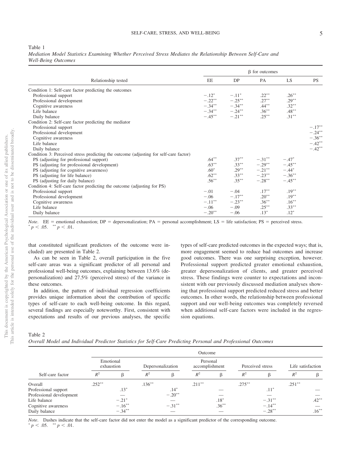#### Table 1

|                            |  |  |  |  | Mediation Model Statistics Examining Whether Perceived Stress Mediates the Relationship Between Self-Care and |  |  |
|----------------------------|--|--|--|--|---------------------------------------------------------------------------------------------------------------|--|--|
| <b>Well-Being Outcomes</b> |  |  |  |  |                                                                                                               |  |  |

|                                                                                       | $\beta$ for outcomes |                     |                   |           |           |  |  |  |
|---------------------------------------------------------------------------------------|----------------------|---------------------|-------------------|-----------|-----------|--|--|--|
| Relationship tested                                                                   | EE                   | DP                  | PA                | LS.       | <b>PS</b> |  |  |  |
| Condition 1: Self-care factor predicting the outcomes                                 |                      |                     |                   |           |           |  |  |  |
| Professional support                                                                  | $-.12^*$             | $-.11*$             | $.22***$          | $.26***$  |           |  |  |  |
| Professional development                                                              |                      | $-.22***$ $-.25**$  | $.27***$          | $.29***$  |           |  |  |  |
| Cognitive awareness                                                                   |                      | $-.34***$ $-.34**$  | $.44***$          | $.32***$  |           |  |  |  |
| Life balance                                                                          |                      | $-.34***$ $-.24***$ | $.36***$          | $.48***$  |           |  |  |  |
| Daily balance                                                                         | $-.45***$            | $-.21***$           | $.25***$          | $.31***$  |           |  |  |  |
| Condition 2: Self-care factor predicting the mediator                                 |                      |                     |                   |           |           |  |  |  |
| Professional support                                                                  |                      |                     |                   |           | $-.17**$  |  |  |  |
| Professional development                                                              |                      |                     |                   |           | $-.24***$ |  |  |  |
| Cognitive awareness                                                                   |                      |                     |                   |           | $-.36***$ |  |  |  |
| Life balance                                                                          |                      |                     |                   |           | $-.42**$  |  |  |  |
| Daily balance                                                                         |                      |                     |                   |           | $-.42**$  |  |  |  |
| Condition 3: Perceived stress predicting the outcome (adjusting for self-care factor) |                      |                     |                   |           |           |  |  |  |
| PS (adjusting for professional support)                                               | $.64***$             | $.37***$            | $-.31***$         | $-.47*$   |           |  |  |  |
| PS (adjusting for professional development)                                           | $.63***$             | $.33***$            | $-.29***$         | $-.45***$ |           |  |  |  |
| PS (adjusting for cognitive awareness)                                                | $.60*$               | $.29***$            | $-.21***$ $-.44*$ |           |           |  |  |  |
| PS (adjusting for life balance)                                                       | $.62***$             | $.33***$            | $-.23***$         | $-.36***$ |           |  |  |  |
| PS (adjusting for daily balance)                                                      | $.56***$             | $.35***$            | $-.28***$         | $-.45***$ |           |  |  |  |
| Condition 4: Self-care factor predicting the outcome (adjusting for PS)               |                      |                     |                   |           |           |  |  |  |
| Professional support                                                                  | $-.01$               | $-.04$              | $.17***$          | $.19***$  |           |  |  |  |
| Professional development                                                              | $-.06$               | $-.17***$           | $.20**$           | $.19***$  |           |  |  |  |
| Cognitive awareness                                                                   | $-.11***$            | $-.23***$           | $.36***$          | $.16***$  |           |  |  |  |
| Life balance                                                                          | $-.06$               | $-.09$              | $.25***$          | $.33***$  |           |  |  |  |
| Daily balance                                                                         | $-.20**$             | $-.06$              | $.13*$            | $.12*$    |           |  |  |  |

*Note*. EE = emotional exhaustion; DP = depersonalization; PA = personal accomplishment; LS = life satisfaction; PS = perceived stress.  $p < .05.$  \*\*  $p < .01.$ 

that constituted significant predictors of the outcome were included) are presented in [Table 2.](#page-5-0)

As can be seen in [Table 2,](#page-5-0) overall participation in the five self-care areas was a significant predictor of all personal and professional well-being outcomes, explaining between 13.6% (depersonalization) and 27.5% (perceived stress) of the variance in these outcomes.

In addition, the pattern of individual regression coefficients provides unique information about the contribution of specific types of self-care to each well-being outcome. In this regard, several findings are especially noteworthy. First, consistent with expectations and results of our previous analyses, the specific types of self-care predicted outcomes in the expected ways; that is, more engagement seemed to reduce bad outcomes and increase good outcomes. There was one surprising exception, however. Professional support predicted greater emotional exhaustion, greater depersonalization of clients, and greater perceived stress. These findings were counter to expectations and inconsistent with our previously discussed mediation analyses showing that professional support predicted reduced stress and better outcomes. In other words, the relationship between professional support and our well-being outcomes was completely reversed when additional self-care factors were included in the regression equations.

<span id="page-5-0"></span>Table 2

| Overall Model and Individual Predictor Statistics for Self-Care Predicting Personal and Professional Outcomes |  |  |
|---------------------------------------------------------------------------------------------------------------|--|--|
|---------------------------------------------------------------------------------------------------------------|--|--|

|                          | Outcome                 |                     |                   |                      |                            |          |                  |           |                   |          |
|--------------------------|-------------------------|---------------------|-------------------|----------------------|----------------------------|----------|------------------|-----------|-------------------|----------|
|                          | Emotional<br>exhaustion |                     | Depersonalization |                      | Personal<br>accomplishment |          | Perceived stress |           | Life satisfaction |          |
| Self-care factor         | $R^2$                   |                     | $R^2$             | $\beta$              | $R^2$                      | ß        | $R^2$            |           | $R^2$             |          |
| Overall                  | $.252***$               |                     | $.136***$         |                      | $.211***$                  |          | $.275***$        |           | $.251***$         |          |
| Professional support     |                         | $.13*$              |                   | $.14*$               |                            |          |                  | $.11*$    |                   |          |
| Professional development |                         |                     |                   | $-.20$ <sup>**</sup> |                            |          |                  |           |                   |          |
| Life balance             |                         | $-.21$ <sup>*</sup> |                   |                      |                            | $.18*$   |                  | $-.31***$ |                   | $.42***$ |
| Cognitive awareness      |                         | $-.16***$           |                   | $-.31***$            |                            | $.36***$ |                  | $-.14***$ |                   |          |
| Daily balance            |                         | $-.34***$           |                   |                      |                            |          |                  | $-.28**$  |                   | $.16***$ |

*Note*. Dashes indicate that the self-care factor did not enter the model as a significant predictor of the corresponding outcome.

 $p < .05.$  \*\*  $p < .01.$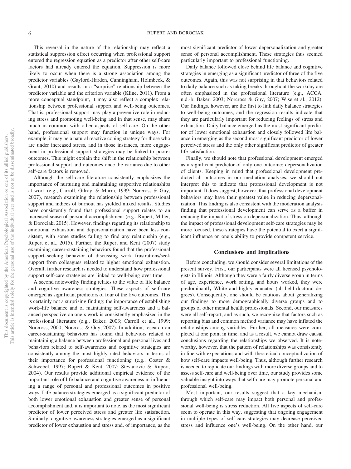This reversal in the nature of the relationship may reflect a statistical suppression effect occurring when professional support entered the regression equation as a predictor after other self-care factors had already entered the equation. Suppression is more likely to occur when there is a strong association among the predictor variables (Gaylord-Harden, Cunningham, Holmbeck, & Grant, 2010) and results in a "surprise" relationship between the predictor variable and the criterion variable (Kline, 2011). From a more conceptual standpoint, it may also reflect a complex relationship between professional support and well-being outcomes. That is, professional support may play a preventive role in reducing stress and promoting well-being and in that sense, may share much in common with other aspects of self-care. On the other hand, professional support may function in unique ways. For example, it may be a natural reactive coping strategy for those who are under increased stress, and in those instances, more engagement in professional support strategies may be linked to poorer outcomes. This might explain the shift in the relationship between professional support and outcomes once the variance due to other self-care factors is removed.

Although the self-care literature consistently emphasizes the importance of nurturing and maintaining supportive relationships at work (e.g., Carroll, Gilroy, & Murra, 1999; Norcross & Guy, 2007), research examining the relationship between professional support and indices of burnout has yielded mixed results. Studies have consistently found that professional support relates to an increased sense of personal accomplishment (e.g., Rupert, Miller, & Dorociak, 2015). However, findings regarding its relationship to emotional exhaustion and depersonalization have been less consistent, with some studies failing to find any relationship (e.g., Rupert et al., 2015). Further, the Rupert and Kent (2007) study examining career-sustaining behaviors found that the professional support–seeking behavior of discussing work frustrations/seek support from colleagues related to higher emotional exhaustion. Overall, further research is needed to understand how professional support self-care strategies are linked to well-being over time.

A second noteworthy finding relates to the value of life balance and cognitive awareness strategies. These aspects of self-care emerged as significant predictors of four of the five outcomes. This is certainly not a surprising finding; the importance of establishing work–life balance and of maintaining self-awareness and a balanced perspective on one's work is consistently emphasized in the professional literature (e.g., Baker, 2003; Carroll et al., 1999; Norcross, 2000; Norcross & Guy, 2007). In addition, research on career-sustaining behaviors has found that behaviors related to maintaining a balance between professional and personal lives and behaviors related to self-awareness and cognitive strategies are consistently among the most highly rated behaviors in terms of their importance for professional functioning (e.g., Coster & Schwebel, 1997; Rupert & Kent, 2007; Stevanovic & Rupert, 2004). Our results provide additional empirical evidence of the important role of life balance and cognitive awareness in influencing a range of personal and professional outcomes in positive ways. Life balance strategies emerged as a significant predictor of both lower emotional exhaustion and greater sense of personal accomplishment and, it is important to note, as the most significant predictor of lower perceived stress and greater life satisfaction. Similarly, cognitive awareness strategies emerged as a significant predictor of lower exhaustion and stress and, of importance, as the

most significant predictor of lower depersonalization and greater sense of personal accomplishment. These strategies thus seemed particularly important to professional functioning.

Daily balance followed close behind life balance and cognitive strategies in emerging as a significant predictor of three of the five outcomes. Again, this was not surprising in that behaviors related to daily balance such as taking breaks throughout the workday are often emphasized in the professional literature (e.g., ACCA, n.d.-b; Baker, 2003; Norcross & Guy, 2007; Wise et al., 2012). Our findings, however, are the first to link daily balance strategies to well-being outcomes, and the regression results indicate that they are particularly important for reducing feelings of stress and exhaustion. Daily balance emerged as the most significant predictor of lower emotional exhaustion and closely followed life balance in emerging as the second most significant predictor of lower perceived stress and the only other significant predictor of greater life satisfaction.

Finally, we should note that professional development emerged as a significant predictor of only one outcome: depersonalization of clients. Keeping in mind that professional development predicted all outcomes in our mediation analyses, we should not interpret this to indicate that professional development is not important. It does suggest, however, that professional development behaviors may have their greatest value in reducing depersonalization. This finding is also consistent with the moderation analysis finding that professional development can serve as a buffer in reducing the impact of stress on depersonalization. Thus, although the impact of professional development self-care strategies may be more focused, these strategies have the potential to exert a significant influence on one's ability to provide competent service.

#### **Conclusions and Implications**

Before concluding, we should consider several limitations of the present survey. First, our participants were all licensed psychologists in Illinois. Although they were a fairly diverse group in terms of age, experience, work setting, and hours worked, they were predominantly White and highly educated (all held doctoral degrees). Consequently, one should be cautious about generalizing our findings to more demographically diverse groups and to groups of other mental health professionals. Second, our measures were all self-report, and as such, we recognize that factors such as reporting bias and common method variance may have inflated the relationships among variables. Further, all measures were completed at one point in time, and as a result, we cannot draw causal conclusions regarding the relationships we observed. It is noteworthy, however, that the pattern of relationships was consistently in line with expectations and with theoretical conceptualization of how self-care impacts well-being. Thus, although further research is needed to replicate our findings with more diverse groups and to assess self-care and well-being over time, our study provides some valuable insight into ways that self-care may promote personal and professional well-being.

Most important, our results suggest that a key mechanism through which self-care may impact both personal and professional well-being is stress reduction. All five aspects of self-care seem to operate in this way, suggesting that ongoing engagement in multiple types of self-care strategies may decrease perceived stress and influence one's well-being. On the other hand, our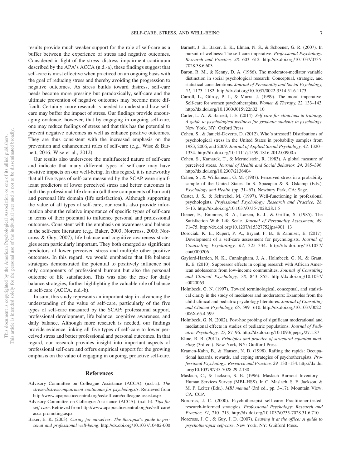results provide much weaker support for the role of self-care as a buffer between the experience of stress and negative outcomes. Considered in light of the stress– distress–impairment continuum described by the APA's ACCA (n.d.-a), these findings suggest that self-care is most effective when practiced on an ongoing basis with the goal of reducing stress and thereby avoiding the progression to negative outcomes. As stress builds toward distress, self-care needs become more pressing but paradoxically, self-care and the ultimate prevention of negative outcomes may become more difficult. Certainly, more research is needed to understand how selfcare may buffer the impact of stress. Our findings provide encouraging evidence, however, that by engaging in ongoing self-care, one may reduce feelings of stress and that this has the potential to prevent negative outcomes as well as enhance positive outcomes. They are thus consistent with the increased emphasis on the prevention and enhancement roles of self-care (e.g., Wise & Barnett, 2016; Wise et al., 2012).

Our results also underscore the multifaceted nature of self-care and indicate that many different types of self-care may have positive impacts on our well-being. In this regard, it is noteworthy that all five types of self-care measured by the SCAP were significant predictors of lower perceived stress and better outcomes in both the professional life domain (all three components of burnout) and personal life domain (life satisfaction). Although supporting the value of all types of self-care, our results also provide information about the relative importance of specific types of self-care in terms of their potential to influence personal and professional outcomes. Consistent with the emphasis on awareness and balance in the self-care literature (e.g., Baker, 2003; Norcross, 2000; Norcross & Guy, 2007), life balance and cognitive awareness strategies seem particularly important. They both emerged as significant predictors of lower perceived stress and multiple other positive outcomes. In this regard, we would emphasize that life balance strategies demonstrated the potential to positively influence not only components of professional burnout but also the personal outcome of life satisfaction. This was also the case for daily balance strategies, further highlighting the valuable role of balance in self-care (ACCA, n.d.-b).

In sum, this study represents an important step in advancing the understanding of the value of self-care, particularly of the five types of self-care measured by the SCAP: professional support, professional development, life balance, cognitive awareness, and daily balance. Although more research is needed, our findings provide evidence linking all five types of self-care to lower perceived stress and better professional and personal outcomes. In that regard, our research provides insight into important aspects of professional self-care and offers empirical support for the growing emphasis on the value of engaging in ongoing, proactive self-care.

#### **References**

- Advisory Committee on Colleague Assistance (ACCA). (n.d.-a). *The stress-distress-impairment continuum for psychologists*. Retrieved from <http://www.apapracticecentral.org/ce/self-care/colleague-assist.aspx>
- Advisory Committee on Colleague Assistance (ACCA). (n.d.-b). *Tips for self-care*. Retrieved from [http://www.apapracticecentral.org/ce/self-care/](http://www.apapracticecentral.org/ce/self-care/acca-promoting.aspx) [acca-promoting.aspx](http://www.apapracticecentral.org/ce/self-care/acca-promoting.aspx)
- Baker, E. K. (2003). *Caring for ourselves: The therapist's guide to personal and professional well-being*.<http://dx.doi.org/10.1037/10482-000>
- Barnett, J. E., Baker, E. K., Elman, N. S., & Schoener, G. R. (2007). In pursuit of wellness: The self-care imperative. *Professional Psychology: Research and Practice, 38,* 603– 612. [http://dx.doi.org/10.1037/0735-](http://dx.doi.org/10.1037/0735-7028.38.6.603) [7028.38.6.603](http://dx.doi.org/10.1037/0735-7028.38.6.603)
- Baron, R. M., & Kenny, D. A. (1986). The moderator-mediator variable distinction in social psychological research: Conceptual, strategic, and statistical considerations. *Journal of Personality and Social Psychology, 51,* 1173–1182.<http://dx.doi.org/10.1037/0022-3514.51.6.1173>
- Carroll, L., Gilroy, P. J., & Murra, J. (1999). The moral imperative: Self-care for women psychotherapists. *Women & Therapy, 22,* 133–143. [http://dx.doi.org/10.1300/J015v22n02\\_10](http://dx.doi.org/10.1300/J015v22n02_10)
- Carter, L. A., & Barnett, J. E. (2014). *Self-care for clinicians in training: A guide to psychological wellness for graduate students in psychology*. New York, NY: Oxford Press.
- Cohen, S., & Janicki-Deverts, D. (2012). Who's stressed? Distributions of psychological stress in the United States in probability samples from 1983, 2006, and 2009. *Journal of Applied Social Psychology, 42,* 1320 – 1334.<http://dx.doi.org/10.1111/j.1559-1816.2012.00900.x>
- <span id="page-7-0"></span>Cohen, S., Kamarck, T., & Mermelstein, R. (1983). A global measure of perceived stress. *Journal of Health and Social Behavior, 24,* 385–396. <http://dx.doi.org/10.2307/2136404>
- Cohen, S., & Williamson, G. M. (1987). Perceived stress in a probability sample of the United States. In S. Spacapan & S. Oskamp (Eds.), *Psychology and Health* (pp. 31–67). Newbury Park, CA: Sage.
- Coster, J. S., & Schwebel, M. (1997). Well-functioning in professional psychologists. *Professional Psychology: Research and Practice, 28,* 5–13.<http://dx.doi.org/10.1037/0735-7028.28.1.5>
- Diener, E., Emmons, R. A., Larsen, R. J., & Griffin, S. (1985). The Satisfaction With Life Scale. *Journal of Personality Assessment, 49,* 71–75. [http://dx.doi.org/10.1207/s15327752jpa4901\\_13](http://dx.doi.org/10.1207/s15327752jpa4901_13)
- Dorociak, K. E., Rupert, P. A., Bryant, F. B., & Zahniser, E. (2017). Development of a self-care assessment for psychologists. *Journal of Counseling Psychology, 64,* 325–334. [http://dx.doi.org/10.1037/](http://dx.doi.org/10.1037/cou0000206) [cou0000206](http://dx.doi.org/10.1037/cou0000206)
- Gaylord-Harden, N. K., Cunningham, J. A., Holmbeck, G. N., & Grant, K. E. (2010). Suppressor effects in coping research with African American adolescents from low-income communities. *Journal of Consulting and Clinical Psychology, 78,* 843– 855. [http://dx.doi.org/10.1037/](http://dx.doi.org/10.1037/a0020063) [a0020063](http://dx.doi.org/10.1037/a0020063)
- Holmbeck, G. N. (1997). Toward terminological, conceptual, and statistical clarity in the study of mediators and moderators: Examples from the child-clinical and pediatric psychology literatures. *Journal of Consulting and Clinical Psychology, 65,* 599 – 610. [http://dx.doi.org/10.1037/0022-](http://dx.doi.org/10.1037/0022-006X.65.4.599) [006X.65.4.599](http://dx.doi.org/10.1037/0022-006X.65.4.599)
- Holmbeck, G. N. (2002). Post-hoc probing of significant moderational and mediational effects in studies of pediatric populations. *Journal of Pediatric Psychology, 27,* 87–96.<http://dx.doi.org/10.1093/jpepsy/27.1.87>
- Kline, R. B. (2011). *Principles and practice of structural equation modeling* (3rd ed.). New York, NY: Guilford Press.
- Kramen-Kahn, B., & Hansen, N. D. (1998). Rafting the rapids: Occupational hazards, rewards, and coping strategies of psychotherapists. *Professional Psychology: Research and Practice, 29,* 130 –134. [http://dx.doi](http://dx.doi.org/10.1037/0735-7028.29.2.130) [.org/10.1037/0735-7028.29.2.130](http://dx.doi.org/10.1037/0735-7028.29.2.130)
- Maslach, C., & Jackson, S. E. (1996). Maslach Burnout Inventory— Human Services Survey (MBI–HSS). In C. Maslach, S. E. Jackson, & M. P. Leiter (Eds.), *MBI manual* (3rd ed., pp. 3–17). Mountain View, CA: CCP.
- Norcross, J. C. (2000). Psychotherapist self-care: Practitioner-tested, research-informed strategies. *Professional Psychology: Research and Practice, 31,* 710 –713.<http://dx.doi.org/10.1037/0735-7028.31.6.710>
- Norcross, J. C., & Guy, J. D. (2007). *Leaving it at the office: A guide to psychotherapist self-care*. New York, NY: Guilford Press.